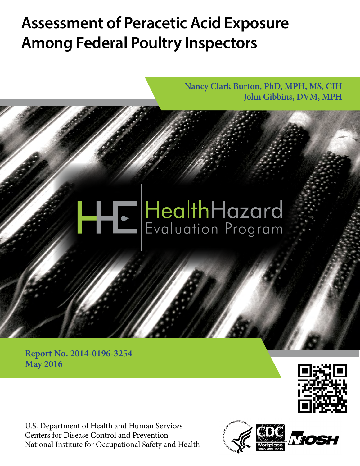## **Assessment of Peracetic Acid Exposure Among Federal Poultry Inspectors**

**Nancy Clark Burton, PhD, MPH, MS, CIH John Gibbins, DVM, MPH** 

# HealthHazard<br>Evaluation Program

**Report No. 2014-0196-3254 May 2016** 



National Institute for Occupational Safety and Health Page 1 **Page 1 <sup>2</sup>1405** U.S. Department of Health and Human Services Centers for Disease Control and Prevention

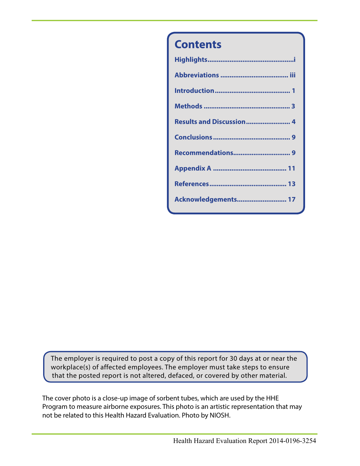## **Contents**

| <b>Results and Discussion 4</b> |
|---------------------------------|
|                                 |
|                                 |
|                                 |
|                                 |
| Acknowledgements 17             |

The employer is required to post a copy of this report for 30 days at or near the workplace(s) of affected employees. The employer must take steps to ensure that the posted report is not altered, defaced, or covered by other material.

The cover photo is a close-up image of sorbent tubes, which are used by the HHE Program to measure airborne exposures. This photo is an artistic representation that may not be related to this Health Hazard Evaluation. Photo by NIOSH.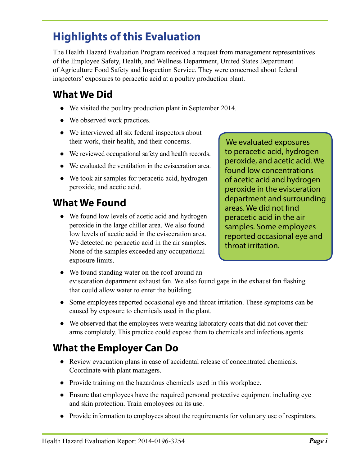## **Highlights of this Evaluation**

The Health Hazard Evaluation Program received a request from management representatives of the Employee Safety, Health, and Wellness Department, United States Department of Agriculture Food Safety and Inspection Service. They were concerned about federal inspectors' exposures to peracetic acid at a poultry production plant.

## **What We Did**

- **●** We visited the poultry production plant in September 2014.
- **●** We observed work practices.
- **●** We interviewed all six federal inspectors about their work, their health, and their concerns.
- **●** We reviewed occupational safety and health records.
- **●** We evaluated the ventilation in the evisceration area.
- We took air samples for peracetic acid, hydrogen peroxide, and acetic acid.

## **What We Found**

**●** We found low levels of acetic acid and hydrogen peroxide in the large chiller area. We also found low levels of acetic acid in the evisceration area. We detected no peracetic acid in the air samples. None of the samples exceeded any occupational exposure limits.

We evaluated exposures to peracetic acid, hydrogen peroxide, and acetic acid. We found low concentrations of acetic acid and hydrogen peroxide in the evisceration department and surrounding areas. We did not find peracetic acid in the air samples. Some employees reported occasional eye and throat irritation.

- **●** We found standing water on the roof around an evisceration department exhaust fan. We also found gaps in the exhaust fan flashing that could allow water to enter the building.
- **●** Some employees reported occasional eye and throat irritation. These symptoms can be caused by exposure to chemicals used in the plant.
- We observed that the employees were wearing laboratory coats that did not cover their arms completely. This practice could expose them to chemicals and infectious agents.

## **What the Employer Can Do**

- **●** Review evacuation plans in case of accidental release of concentrated chemicals. Coordinate with plant managers.
- **●** Provide training on the hazardous chemicals used in this workplace.
- **●** Ensure that employees have the required personal protective equipment including eye and skin protection. Train employees on its use.
- **●** Provide information to employees about the requirements for voluntary use of respirators.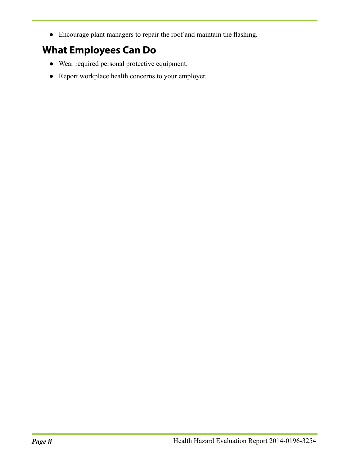<span id="page-3-0"></span>**●** Encourage plant managers to repair the roof and maintain the flashing.

## **What Employees Can Do**

- **●** Wear required personal protective equipment.
- **●** Report workplace health concerns to your employer.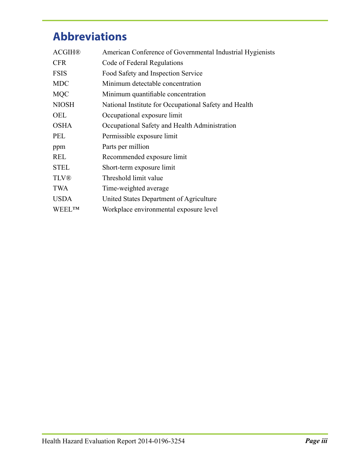## <span id="page-4-0"></span>**Abbreviations**

| <b>ACGIH®</b> | American Conference of Governmental Industrial Hygienists |
|---------------|-----------------------------------------------------------|
| <b>CFR</b>    | Code of Federal Regulations                               |
| <b>FSIS</b>   | Food Safety and Inspection Service                        |
| <b>MDC</b>    | Minimum detectable concentration                          |
| <b>MQC</b>    | Minimum quantifiable concentration                        |
| <b>NIOSH</b>  | National Institute for Occupational Safety and Health     |
| OEL           | Occupational exposure limit                               |
| <b>OSHA</b>   | Occupational Safety and Health Administration             |
| <b>PEL</b>    | Permissible exposure limit                                |
| ppm           | Parts per million                                         |
| <b>REL</b>    | Recommended exposure limit                                |
| <b>STEL</b>   | Short-term exposure limit                                 |
| <b>TLV®</b>   | Threshold limit value                                     |
| <b>TWA</b>    | Time-weighted average                                     |
| <b>USDA</b>   | United States Department of Agriculture                   |
| <b>WEELTM</b> | Workplace environmental exposure level                    |
|               |                                                           |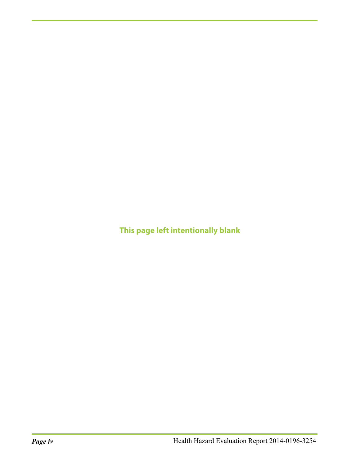**This page left intentionally blank**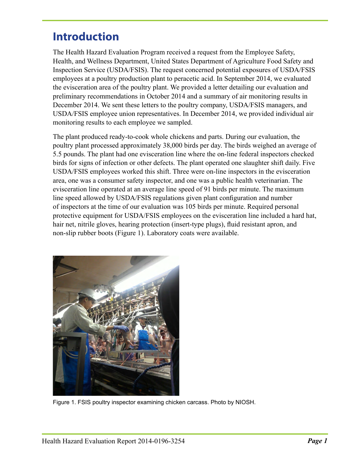## **Introduction**

The Health Hazard Evaluation Program received a request from the Employee Safety, Health, and Wellness Department, United States Department of Agriculture Food Safety and Inspection Service (USDA/FSIS). The request concerned potential exposures of USDA/FSIS employees at a poultry production plant to peracetic acid. In September 2014, we evaluated the evisceration area of the poultry plant. We provided a letter detailing our evaluation and preliminary recommendations in October 2014 and a summary of air monitoring results in December 2014. We sent these letters to the poultry company, USDA/FSIS managers, and USDA/FSIS employee union representatives. In December 2014, we provided individual air monitoring results to each employee we sampled.

The plant produced ready-to-cook whole chickens and parts. During our evaluation, the poultry plant processed approximately 38,000 birds per day. The birds weighed an average of 5.5 pounds. The plant had one evisceration line where the on-line federal inspectors checked birds for signs of infection or other defects. The plant operated one slaughter shift daily. Five USDA/FSIS employees worked this shift. Three were on-line inspectors in the evisceration area, one was a consumer safety inspector, and one was a public health veterinarian. The evisceration line operated at an average line speed of 91 birds per minute. The maximum line speed allowed by USDA/FSIS regulations given plant configuration and number of inspectors at the time of our evaluation was 105 birds per minute. Required personal protective equipment for USDA/FSIS employees on the evisceration line included a hard hat, hair net, nitrile gloves, hearing protection (insert-type plugs), fluid resistant apron, and non-slip rubber boots (Figure 1). Laboratory coats were available.



Figure 1. FSIS poultry inspector examining chicken carcass. Photo by NIOSH.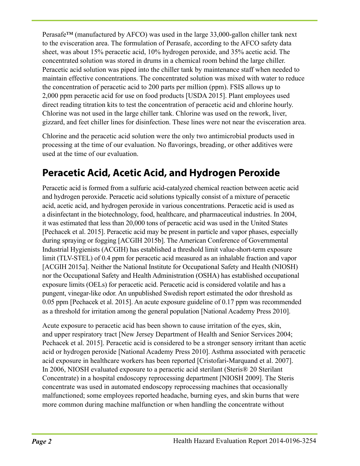Perasafe™ (manufactured by AFCO) was used in the large 33,000-gallon chiller tank next to the evisceration area. The formulation of Perasafe, according to the AFCO safety data sheet, was about 15% peracetic acid, 10% hydrogen peroxide, and 35% acetic acid. The concentrated solution was stored in drums in a chemical room behind the large chiller. Peracetic acid solution was piped into the chiller tank by maintenance staff when needed to maintain effective concentrations. The concentrated solution was mixed with water to reduce the concentration of peracetic acid to 200 parts per million (ppm). FSIS allows up to 2,000 ppm peracetic acid for use on food products [USDA 2015]. Plant employees used direct reading titration kits to test the concentration of peracetic acid and chlorine hourly. Chlorine was not used in the large chiller tank. Chlorine was used on the rework, liver, gizzard, and feet chiller lines for disinfection. These lines were not near the evisceration area.

Chlorine and the peracetic acid solution were the only two antimicrobial products used in processing at the time of our evaluation. No flavorings, breading, or other additives were used at the time of our evaluation.

## **Peracetic Acid, Acetic Acid, and Hydrogen Peroxide**

Peracetic acid is formed from a sulfuric acid-catalyzed chemical reaction between acetic acid and hydrogen peroxide. Peracetic acid solutions typically consist of a mixture of peracetic acid, acetic acid, and hydrogen peroxide in various concentrations. Peracetic acid is used as a disinfectant in the biotechnology, food, healthcare, and pharmaceutical industries. In 2004, it was estimated that less than 20,000 tons of peracetic acid was used in the United States [Pechacek et al. 2015]. Peracetic acid may be present in particle and vapor phases, especially during spraying or fogging [ACGIH 2015b]. The American Conference of Governmental Industrial Hygienists (ACGIH) has established a threshold limit value-short-term exposure limit (TLV-STEL) of 0.4 ppm for peracetic acid measured as an inhalable fraction and vapor [ACGIH 2015a]. Neither the National Institute for Occupational Safety and Health (NIOSH) nor the Occupational Safety and Health Administration (OSHA) has established occupational exposure limits (OELs) for peracetic acid. Peracetic acid is considered volatile and has a pungent, vinegar-like odor. An unpublished Swedish report estimated the odor threshold as 0.05 ppm [Pechacek et al. 2015]. An acute exposure guideline of 0.17 ppm was recommended as a threshold for irritation among the general population [National Academy Press 2010].

Acute exposure to peracetic acid has been shown to cause irritation of the eyes, skin, and upper respiratory tract [New Jersey Department of Health and Senior Services 2004; Pechacek et al. 2015]. Peracetic acid is considered to be a stronger sensory irritant than acetic acid or hydrogen peroxide [National Academy Press 2010]. Asthma associated with peracetic acid exposure in healthcare workers has been reported [Cristofari-Marquand et al. 2007]. In 2006, NIOSH evaluated exposure to a peracetic acid sterilant (Steris® 20 Sterilant Concentrate) in a hospital endoscopy reprocessing department [NIOSH 2009]. The Steris concentrate was used in automated endoscopy reprocessing machines that occasionally malfunctioned; some employees reported headache, burning eyes, and skin burns that were more common during machine malfunction or when handling the concentrate without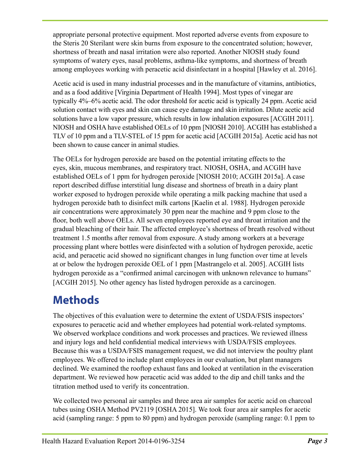appropriate personal protective equipment. Most reported adverse events from exposure to the Steris 20 Sterilant were skin burns from exposure to the concentrated solution; however, shortness of breath and nasal irritation were also reported. Another NIOSH study found symptoms of watery eyes, nasal problems, asthma-like symptoms, and shortness of breath among employees working with peracetic acid disinfectant in a hospital [Hawley et al. 2016].

Acetic acid is used in many industrial processes and in the manufacture of vitamins, antibiotics, and as a food additive [Virginia Department of Health 1994]. Most types of vinegar are typically 4%–6% acetic acid. The odor threshold for acetic acid is typically 24 ppm. Acetic acid solution contact with eyes and skin can cause eye damage and skin irritation. Dilute acetic acid solutions have a low vapor pressure, which results in low inhalation exposures [ACGIH 2011]. NIOSH and OSHA have established OELs of 10 ppm [NIOSH 2010]. ACGIH has established a TLV of 10 ppm and a TLV-STEL of 15 ppm for acetic acid [ACGIH 2015a]. Acetic acid has not been shown to cause cancer in animal studies.

The OELs for hydrogen peroxide are based on the potential irritating effects to the eyes, skin, mucous membranes, and respiratory tract. NIOSH, OSHA, and ACGIH have established OELs of 1 ppm for hydrogen peroxide [NIOSH 2010; ACGIH 2015a]. A case report described diffuse interstitial lung disease and shortness of breath in a dairy plant worker exposed to hydrogen peroxide while operating a milk packing machine that used a hydrogen peroxide bath to disinfect milk cartons [Kaelin et al. 1988]. Hydrogen peroxide air concentrations were approximately 30 ppm near the machine and 9 ppm close to the floor, both well above OELs. All seven employees reported eye and throat irritation and the gradual bleaching of their hair. The affected employee's shortness of breath resolved without treatment 1.5 months after removal from exposure. A study among workers at a beverage processing plant where bottles were disinfected with a solution of hydrogen peroxide, acetic acid, and peracetic acid showed no significant changes in lung function over time at levels at or below the hydrogen peroxide OEL of 1 ppm [Mastrangelo et al. 2005]. ACGIH lists hydrogen peroxide as a "confirmed animal carcinogen with unknown relevance to humans" [ACGIH 2015]. No other agency has listed hydrogen peroxide as a carcinogen.

## **Methods**

The objectives of this evaluation were to determine the extent of USDA/FSIS inspectors' exposures to peracetic acid and whether employees had potential work-related symptoms. We observed workplace conditions and work processes and practices. We reviewed illness and injury logs and held confidential medical interviews with USDA/FSIS employees. Because this was a USDA/FSIS management request, we did not interview the poultry plant employees. We offered to include plant employees in our evaluation, but plant managers declined. We examined the rooftop exhaust fans and looked at ventilation in the evisceration department. We reviewed how peracetic acid was added to the dip and chill tanks and the titration method used to verify its concentration.

We collected two personal air samples and three area air samples for acetic acid on charcoal tubes using OSHA Method PV2119 [OSHA 2015]. We took four area air samples for acetic acid (sampling range: 5 ppm to 80 ppm) and hydrogen peroxide (sampling range: 0.1 ppm to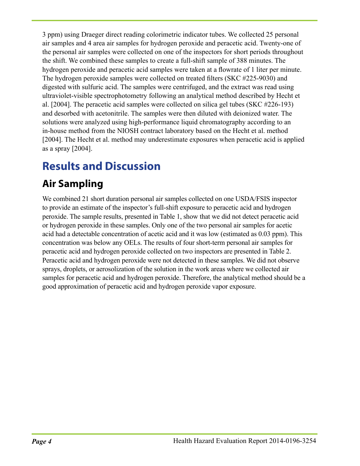3 ppm) using Draeger direct reading colorimetric indicator tubes. We collected 25 personal air samples and 4 area air samples for hydrogen peroxide and peracetic acid. Twenty-one of the personal air samples were collected on one of the inspectors for short periods throughout the shift. We combined these samples to create a full-shift sample of 388 minutes. The hydrogen peroxide and peracetic acid samples were taken at a flowrate of 1 liter per minute. The hydrogen peroxide samples were collected on treated filters (SKC #225-9030) and digested with sulfuric acid. The samples were centrifuged, and the extract was read using ultraviolet-visible spectrophotometry following an analytical method described by Hecht et al. [2004]. The peracetic acid samples were collected on silica gel tubes (SKC #226-193) and desorbed with acetonitrile. The samples were then diluted with deionized water. The solutions were analyzed using high-performance liquid chromatography according to an in-house method from the NIOSH contract laboratory based on the Hecht et al. method [2004]. The Hecht et al. method may underestimate exposures when peracetic acid is applied as a spray [2004].

## **Results and Discussion**

## **Air Sampling**

We combined 21 short duration personal air samples collected on one USDA/FSIS inspector to provide an estimate of the inspector's full-shift exposure to peracetic acid and hydrogen peroxide. The sample results, presented in Table 1, show that we did not detect peracetic acid or hydrogen peroxide in these samples. Only one of the two personal air samples for acetic acid had a detectable concentration of acetic acid and it was low (estimated as 0.03 ppm). This concentration was below any OELs. The results of four short-term personal air samples for peracetic acid and hydrogen peroxide collected on two inspectors are presented in Table 2. Peracetic acid and hydrogen peroxide were not detected in these samples. We did not observe sprays, droplets, or aerosolization of the solution in the work areas where we collected air samples for peracetic acid and hydrogen peroxide. Therefore, the analytical method should be a good approximation of peracetic acid and hydrogen peroxide vapor exposure.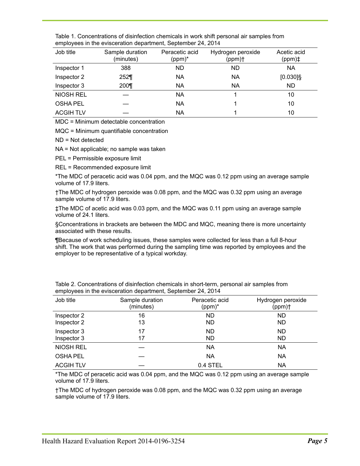| Job title        | Sample duration<br>(minutes) | Peracetic acid<br>(ppm)* | Hydrogen peroxide<br>$(ppm)$ † | Acetic acid<br>(ppm) |
|------------------|------------------------------|--------------------------|--------------------------------|----------------------|
| Inspector 1      | 388                          | <b>ND</b>                | <b>ND</b>                      | <b>NA</b>            |
| Inspector 2      | 252                          | <b>NA</b>                | <b>NA</b>                      | $[0.030]$ §          |
| Inspector 3      | 200¶                         | ΝA                       | <b>NA</b>                      | <b>ND</b>            |
| <b>NIOSH REL</b> |                              | <b>NA</b>                |                                | 10                   |
| <b>OSHA PEL</b>  |                              | <b>NA</b>                |                                | 10                   |
| <b>ACGIH TLV</b> |                              | <b>NA</b>                |                                | 10                   |

Table 1. Concentrations of disinfection chemicals in work shift personal air samples from employees in the evisceration department, September 24, 2014

MDC = Minimum detectable concentration

MQC = Minimum quantifiable concentration

ND = Not detected

NA = Not applicable; no sample was taken

PEL = Permissible exposure limit

REL = Recommended exposure limit

\*The MDC of peracetic acid was 0.04 ppm, and the MQC was 0.12 ppm using an average sample volume of 17.9 liters.

†The MDC of hydrogen peroxide was 0.08 ppm, and the MQC was 0.32 ppm using an average sample volume of 17.9 liters.

‡The MDC of acetic acid was 0.03 ppm, and the MQC was 0.11 ppm using an average sample volume of 24.1 liters.

§Concentrations in brackets are between the MDC and MQC, meaning there is more uncertainty associated with these results.

¶Because of work scheduling issues, these samples were collected for less than a full 8-hour shift. The work that was performed during the sampling time was reported by employees and the employer to be representative of a typical workday.

| Job title        | Sample duration<br>(minutes) | Peracetic acid<br>$(ppm)^*$ | Hydrogen peroxide<br>$(ppm)$ † |
|------------------|------------------------------|-----------------------------|--------------------------------|
| Inspector 2      | 16                           | <b>ND</b>                   | <b>ND</b>                      |
| Inspector 2      | 13                           | ND.                         | ND                             |
| Inspector 3      | 17                           | <b>ND</b>                   | <b>ND</b>                      |
| Inspector 3      | 17                           | ND.                         | ND.                            |
| <b>NIOSH REL</b> |                              | <b>NA</b>                   | <b>NA</b>                      |
| <b>OSHA PEL</b>  |                              | ΝA                          | ΝA                             |
| <b>ACGIH TLV</b> |                              | 0.4 STEL                    | ΝA                             |

Table 2. Concentrations of disinfection chemicals in short-term, personal air samples from employees in the evisceration department, September 24, 2014

\*The MDC of peracetic acid was 0.04 ppm, and the MQC was 0.12 ppm using an average sample volume of 17.9 liters.

†The MDC of hydrogen peroxide was 0.08 ppm, and the MQC was 0.32 ppm using an average sample volume of 17.9 liters.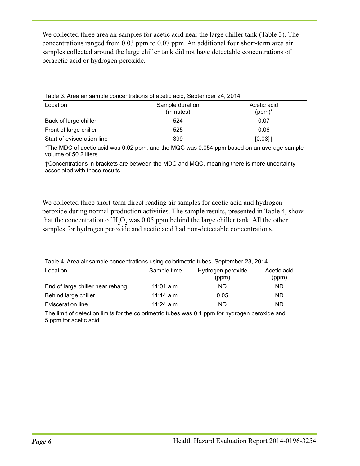We collected three area air samples for acetic acid near the large chiller tank (Table 3). The concentrations ranged from 0.03 ppm to 0.07 ppm. An additional four short-term area air samples collected around the large chiller tank did not have detectable concentrations of peracetic acid or hydrogen peroxide.

| Location                   | Sample duration<br>(minutes) | Acetic acid<br>$(ppm)^*$ |  |
|----------------------------|------------------------------|--------------------------|--|
| Back of large chiller      | 524                          | 0.07                     |  |
| Front of large chiller     | 525                          | 0.06                     |  |
| Start of evisceration line | 399                          | [0.03]                   |  |

Table 3. Area air sample concentrations of acetic acid, September 24, 2014

\*The MDC of acetic acid was 0.02 ppm, and the MQC was 0.054 ppm based on an average sample volume of 50.2 liters.

†Concentrations in brackets are between the MDC and MQC, meaning there is more uncertainty associated with these results.

We collected three short-term direct reading air samples for acetic acid and hydrogen peroxide during normal production activities. The sample results, presented in Table 4, show that the concentration of  $H_2O_2$  was 0.05 ppm behind the large chiller tank. All the other samples for hydrogen peroxide and acetic acid had non-detectable concentrations.

| Table 4. Area air sample concentrations using colorimetric tubes, September 23, 2014 |
|--------------------------------------------------------------------------------------|
|--------------------------------------------------------------------------------------|

| Location                         | Sample time  | Hydrogen peroxide<br>(ppm) | Acetic acid<br>(ppm) |
|----------------------------------|--------------|----------------------------|----------------------|
| End of large chiller near rehang | $11:01$ a.m. | ND                         | ND                   |
| Behind large chiller             | $11:14$ a.m. | 0.05                       | ND                   |
| Evisceration line                | $11:24$ a.m. | ND                         | ND.                  |

The limit of detection limits for the colorimetric tubes was 0.1 ppm for hydrogen peroxide and 5 ppm for acetic acid.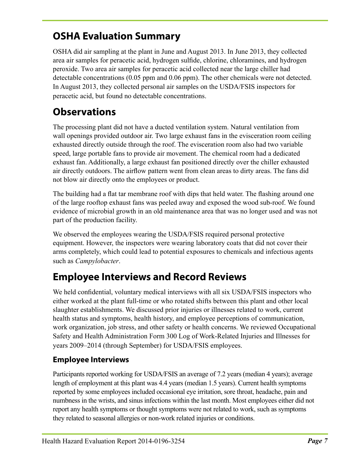## **OSHA Evaluation Summary**

OSHA did air sampling at the plant in June and August 2013. In June 2013, they collected area air samples for peracetic acid, hydrogen sulfide, chlorine, chloramines, and hydrogen peroxide. Two area air samples for peracetic acid collected near the large chiller had detectable concentrations (0.05 ppm and 0.06 ppm). The other chemicals were not detected. In August 2013, they collected personal air samples on the USDA/FSIS inspectors for peracetic acid, but found no detectable concentrations.

## **Observations**

The processing plant did not have a ducted ventilation system. Natural ventilation from wall openings provided outdoor air. Two large exhaust fans in the evisceration room ceiling exhausted directly outside through the roof. The evisceration room also had two variable speed, large portable fans to provide air movement. The chemical room had a dedicated exhaust fan. Additionally, a large exhaust fan positioned directly over the chiller exhausted air directly outdoors. The airflow pattern went from clean areas to dirty areas. The fans did not blow air directly onto the employees or product.

The building had a flat tar membrane roof with dips that held water. The flashing around one of the large rooftop exhaust fans was peeled away and exposed the wood sub-roof. We found evidence of microbial growth in an old maintenance area that was no longer used and was not part of the production facility.

We observed the employees wearing the USDA/FSIS required personal protective equipment. However, the inspectors were wearing laboratory coats that did not cover their arms completely, which could lead to potential exposures to chemicals and infectious agents such as *Campylobacter*.

## **Employee Interviews and Record Reviews**

We held confidential, voluntary medical interviews with all six USDA/FSIS inspectors who either worked at the plant full-time or who rotated shifts between this plant and other local slaughter establishments. We discussed prior injuries or illnesses related to work, current health status and symptoms, health history, and employee perceptions of communication, work organization, job stress, and other safety or health concerns. We reviewed Occupational Safety and Health Administration Form 300 Log of Work-Related Injuries and Illnesses for years 2009–2014 (through September) for USDA/FSIS employees.

#### **Employee Interviews**

Participants reported working for USDA/FSIS an average of 7.2 years (median 4 years); average length of employment at this plant was 4.4 years (median 1.5 years). Current health symptoms reported by some employees included occasional eye irritation, sore throat, headache, pain and numbness in the wrists, and sinus infections within the last month. Most employees either did not report any health symptoms or thought symptoms were not related to work, such as symptoms they related to seasonal allergies or non-work related injuries or conditions.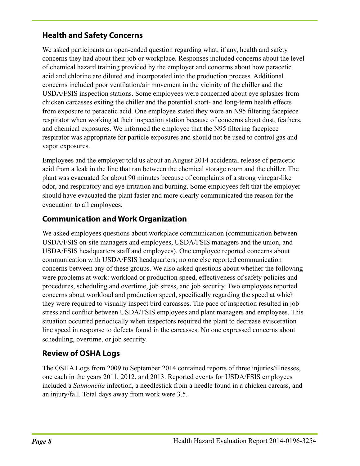#### **Health and Safety Concerns**

We asked participants an open-ended question regarding what, if any, health and safety concerns they had about their job or workplace. Responses included concerns about the level of chemical hazard training provided by the employer and concerns about how peracetic acid and chlorine are diluted and incorporated into the production process. Additional concerns included poor ventilation/air movement in the vicinity of the chiller and the USDA/FSIS inspection stations. Some employees were concerned about eye splashes from chicken carcasses exiting the chiller and the potential short- and long-term health effects from exposure to peracetic acid. One employee stated they wore an N95 filtering facepiece respirator when working at their inspection station because of concerns about dust, feathers, and chemical exposures. We informed the employee that the N95 filtering facepiece respirator was appropriate for particle exposures and should not be used to control gas and vapor exposures.

Employees and the employer told us about an August 2014 accidental release of peracetic acid from a leak in the line that ran between the chemical storage room and the chiller. The plant was evacuated for about 90 minutes because of complaints of a strong vinegar-like odor, and respiratory and eye irritation and burning. Some employees felt that the employer should have evacuated the plant faster and more clearly communicated the reason for the evacuation to all employees.

#### **Communication and Work Organization**

We asked employees questions about workplace communication (communication between USDA/FSIS on-site managers and employees, USDA/FSIS managers and the union, and USDA/FSIS headquarters staff and employees). One employee reported concerns about communication with USDA/FSIS headquarters; no one else reported communication concerns between any of these groups. We also asked questions about whether the following were problems at work: workload or production speed, effectiveness of safety policies and procedures, scheduling and overtime, job stress, and job security. Two employees reported concerns about workload and production speed, specifically regarding the speed at which they were required to visually inspect bird carcasses. The pace of inspection resulted in job stress and conflict between USDA/FSIS employees and plant managers and employees. This situation occurred periodically when inspectors required the plant to decrease evisceration line speed in response to defects found in the carcasses. No one expressed concerns about scheduling, overtime, or job security.

#### **Review of OSHA Logs**

The OSHA Logs from 2009 to September 2014 contained reports of three injuries/illnesses, one each in the years 2011, 2012, and 2013. Reported events for USDA/FSIS employees included a *Salmonella* infection, a needlestick from a needle found in a chicken carcass, and an injury/fall. Total days away from work were 3.5.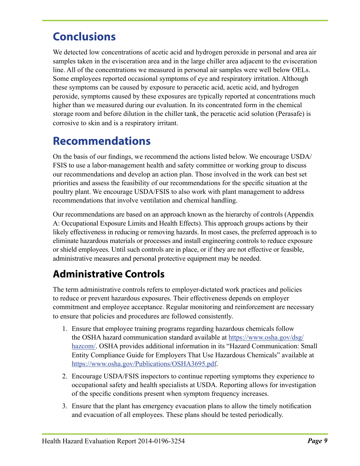## **Conclusions**

We detected low concentrations of acetic acid and hydrogen peroxide in personal and area air samples taken in the evisceration area and in the large chiller area adjacent to the evisceration line. All of the concentrations we measured in personal air samples were well below OELs. Some employees reported occasional symptoms of eye and respiratory irritation. Although these symptoms can be caused by exposure to peracetic acid, acetic acid, and hydrogen peroxide, symptoms caused by these exposures are typically reported at concentrations much higher than we measured during our evaluation. In its concentrated form in the chemical storage room and before dilution in the chiller tank, the peracetic acid solution (Perasafe) is corrosive to skin and is a respiratory irritant.

### **Recommendations**

On the basis of our findings, we recommend the actions listed below. We encourage USDA/ FSIS to use a labor-management health and safety committee or working group to discuss our recommendations and develop an action plan. Those involved in the work can best set priorities and assess the feasibility of our recommendations for the specific situation at the poultry plant. We encourage USDA/FSIS to also work with plant management to address recommendations that involve ventilation and chemical handling.

Our recommendations are based on an approach known as the hierarchy of controls (Appendix A: Occupational Exposure Limits and Health Effects). This approach groups actions by their likely effectiveness in reducing or removing hazards. In most cases, the preferred approach is to eliminate hazardous materials or processes and install engineering controls to reduce exposure or shield employees. Until such controls are in place, or if they are not effective or feasible, administrative measures and personal protective equipment may be needed.

## **Administrative Controls**

The term administrative controls refers to employer-dictated work practices and policies to reduce or prevent hazardous exposures. Their effectiveness depends on employer commitment and employee acceptance. Regular monitoring and reinforcement are necessary to ensure that policies and procedures are followed consistently.

- 1. Ensure that employee training programs regarding hazardous chemicals follow the OSHA hazard communication standard available at [https://www.osha.gov/dsg/](https://www.osha.gov/dsg/hazcom/)  [hazcom/.](https://www.osha.gov/dsg/hazcom/) OSHA provides additional information in its "Hazard Communication: Small Entity Compliance Guide for Employers That Use Hazardous Chemicals" available at <https://www.osha.gov/Publications/OSHA3695.pdf>.
- 2. Encourage USDA/FSIS inspectors to continue reporting symptoms they experience to occupational safety and health specialists at USDA. Reporting allows for investigation of the specific conditions present when symptom frequency increases.
- 3. Ensure that the plant has emergency evacuation plans to allow the timely notification and evacuation of all employees. These plans should be tested periodically.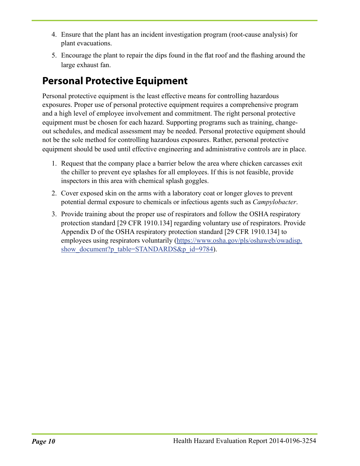- 4. Ensure that the plant has an incident investigation program (root-cause analysis) for plant evacuations.
- 5. Encourage the plant to repair the dips found in the flat roof and the flashing around the large exhaust fan.

## **Personal Protective Equipment**

Personal protective equipment is the least effective means for controlling hazardous exposures. Proper use of personal protective equipment requires a comprehensive program and a high level of employee involvement and commitment. The right personal protective equipment must be chosen for each hazard. Supporting programs such as training, changeout schedules, and medical assessment may be needed. Personal protective equipment should not be the sole method for controlling hazardous exposures. Rather, personal protective equipment should be used until effective engineering and administrative controls are in place.

- 1. Request that the company place a barrier below the area where chicken carcasses exit the chiller to prevent eye splashes for all employees. If this is not feasible, provide inspectors in this area with chemical splash goggles.
- 2. Cover exposed skin on the arms with a laboratory coat or longer gloves to prevent potential dermal exposure to chemicals or infectious agents such as *Campylobacter*.
- 3. Provide training about the proper use of respirators and follow the OSHA respiratory protection standard [29 CFR 1910.134] regarding voluntary use of respirators. Provide Appendix D of the OSHA respiratory protection standard [29 CFR 1910.134] to employees using respirators voluntarily ([https://www.osha.gov/pls/oshaweb/owadisp.](https://www.osha.gov/pls/oshaweb/owadisp.show_document?p_table=STANDARDS&p_id=9784) [show\\_document?p\\_table=STANDARDS&p\\_id=9784\)](https://www.osha.gov/pls/oshaweb/owadisp.show_document?p_table=STANDARDS&p_id=9784).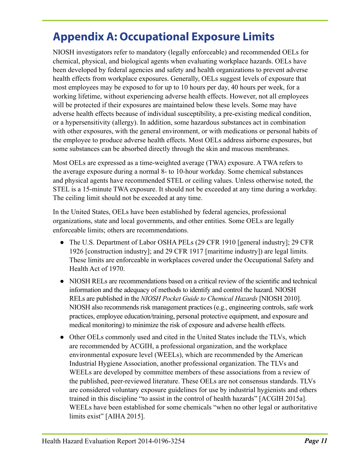## **Appendix A: Occupational Exposure Limits**

NIOSH investigators refer to mandatory (legally enforceable) and recommended OELs for chemical, physical, and biological agents when evaluating workplace hazards. OELs have been developed by federal agencies and safety and health organizations to prevent adverse health effects from workplace exposures. Generally, OELs suggest levels of exposure that most employees may be exposed to for up to 10 hours per day, 40 hours per week, for a working lifetime, without experiencing adverse health effects. However, not all employees will be protected if their exposures are maintained below these levels. Some may have adverse health effects because of individual susceptibility, a pre-existing medical condition, or a hypersensitivity (allergy). In addition, some hazardous substances act in combination with other exposures, with the general environment, or with medications or personal habits of the employee to produce adverse health effects. Most OELs address airborne exposures, but some substances can be absorbed directly through the skin and mucous membranes.

Most OELs are expressed as a time-weighted average (TWA) exposure. A TWA refers to the average exposure during a normal 8- to 10-hour workday. Some chemical substances and physical agents have recommended STEL or ceiling values. Unless otherwise noted, the STEL is a 15-minute TWA exposure. It should not be exceeded at any time during a workday. The ceiling limit should not be exceeded at any time.

In the United States, OELs have been established by federal agencies, professional organizations, state and local governments, and other entities. Some OELs are legally enforceable limits; others are recommendations.

- **●** The U.S. Department of Labor OSHA PELs (29 CFR 1910 [general industry]; 29 CFR 1926 [construction industry]; and 29 CFR 1917 [maritime industry]) are legal limits. These limits are enforceable in workplaces covered under the Occupational Safety and Health Act of 1970.
- **●** NIOSH RELs are recommendations based on a critical review of the scientific and technical information and the adequacy of methods to identify and control the hazard. NIOSH RELs are published in the *NIOSH Pocket Guide to Chemical Hazards* [NIOSH 2010]. NIOSH also recommends risk management practices (e.g., engineering controls, safe work practices, employee education/training, personal protective equipment, and exposure and medical monitoring) to minimize the risk of exposure and adverse health effects.
- **●** Other OELs commonly used and cited in the United States include the TLVs, which are recommended by ACGIH, a professional organization, and the workplace environmental exposure level (WEELs), which are recommended by the American Industrial Hygiene Association, another professional organization. The TLVs and WEELs are developed by committee members of these associations from a review of the published, peer-reviewed literature. These OELs are not consensus standards. TLVs are considered voluntary exposure guidelines for use by industrial hygienists and others trained in this discipline "to assist in the control of health hazards" [ACGIH 2015a]. WEELs have been established for some chemicals "when no other legal or authoritative limits exist" [AIHA 2015].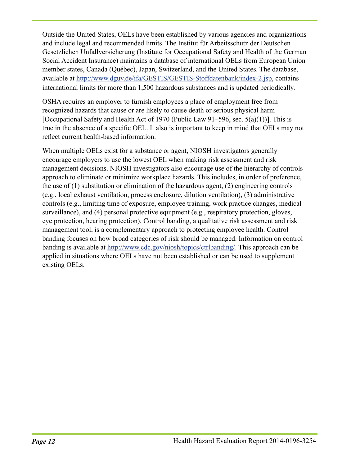Outside the United States, OELs have been established by various agencies and organizations and include legal and recommended limits. The Institut für Arbeitsschutz der Deutschen Gesetzlichen Unfallversicherung (Institute for Occupational Safety and Health of the German Social Accident Insurance) maintains a database of international OELs from European Union member states, Canada (Québec), Japan, Switzerland, and the United States. The database, available at <http://www.dguv.de/ifa/GESTIS/GESTIS-Stoffdatenbank/index-2.jsp>, contains international limits for more than 1,500 hazardous substances and is updated periodically.

OSHA requires an employer to furnish employees a place of employment free from recognized hazards that cause or are likely to cause death or serious physical harm [Occupational Safety and Health Act of 1970 (Public Law 91–596, sec.  $5(a)(1)$ ]. This is true in the absence of a specific OEL. It also is important to keep in mind that OELs may not reflect current health-based information.

When multiple OELs exist for a substance or agent, NIOSH investigators generally encourage employers to use the lowest OEL when making risk assessment and risk management decisions. NIOSH investigators also encourage use of the hierarchy of controls approach to eliminate or minimize workplace hazards. This includes, in order of preference, the use of (1) substitution or elimination of the hazardous agent, (2) engineering controls (e.g., local exhaust ventilation, process enclosure, dilution ventilation), (3) administrative controls (e.g., limiting time of exposure, employee training, work practice changes, medical surveillance), and (4) personal protective equipment (e.g., respiratory protection, gloves, eye protection, hearing protection). Control banding, a qualitative risk assessment and risk management tool, is a complementary approach to protecting employee health. Control banding focuses on how broad categories of risk should be managed. Information on control banding is available at [http://www.cdc.gov/niosh/topics/ctrlbanding/.](http://www.cdc.gov/niosh/topics/ctrlbanding/) This approach can be applied in situations where OELs have not been established or can be used to supplement existing OELs.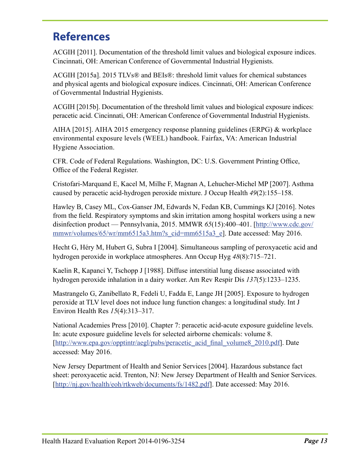## **References**

ACGIH [2011]. Documentation of the threshold limit values and biological exposure indices. Cincinnati, OH: American Conference of Governmental Industrial Hygienists.

ACGIH [2015a]. 2015 TLVs® and BEIs®: threshold limit values for chemical substances and physical agents and biological exposure indices. Cincinnati, OH: American Conference of Governmental Industrial Hygienists.

ACGIH [2015b]. Documentation of the threshold limit values and biological exposure indices: peracetic acid. Cincinnati, OH: American Conference of Governmental Industrial Hygienists.

AIHA [2015]. AIHA 2015 emergency response planning guidelines (ERPG) & workplace environmental exposure levels (WEEL) handbook. Fairfax, VA: American Industrial Hygiene Association.

CFR. Code of Federal Regulations. Washington, DC: U.S. Government Printing Office, Office of the Federal Register.

Cristofari-Marquand E, Kacel M, Milhe F, Magnan A, Lehucher-Michel MP [2007]. Asthma caused by peracetic acid-hydrogen peroxide mixture. J Occup Health *49*(2):155–158.

Hawley B, Casey ML, Cox-Ganser JM, Edwards N, Fedan KB, Cummings KJ [2016]. Notes from the field. Respiratory symptoms and skin irritation among hospital workers using a new disinfection product — Pennsylvania, 2015. MMWR *65*(15):400–401. [\[http://www.cdc.gov/](http://www.cdc.gov/mmwr/volumes/65/wr/mm6515a3.htm?s_cid=mm6515a3_e) [mmwr/volumes/65/wr/mm6515a3.htm?s\\_cid=mm6515a3\\_e](http://www.cdc.gov/mmwr/volumes/65/wr/mm6515a3.htm?s_cid=mm6515a3_e)]. Date accessed: May 2016.

Hecht G, Héry M, Hubert G, Subra I [2004]. Simultaneous sampling of peroxyacetic acid and hydrogen peroxide in workplace atmospheres. Ann Occup Hyg *48*(8):715–721.

Kaelin R, Kapanci Y, Tschopp J [1988]. Diffuse interstitial lung disease associated with hydrogen peroxide inhalation in a dairy worker. Am Rev Respir Dis *137*(5):1233–1235.

Mastrangelo G, Zanibellato R, Fedeli U, Fadda E, Lange JH [2005]. Exposure to hydrogen peroxide at TLV level does not induce lung function changes: a longitudinal study. Int J Environ Health Res *15*(4):313–317.

National Academies Press [2010]. Chapter 7: peracetic acid-acute exposure guideline levels. In: acute exposure guideline levels for selected airborne chemicals: volume 8. [[http://www.epa.gov/opptintr/aegl/pubs/peracetic\\_acid\\_final\\_volume8\\_2010.pdf](http://www.epa.gov/opptintr/aegl/pubs/peracetic_acid_final_volume8_2010.pdf)]. Date accessed: May 2016.

New Jersey Department of Health and Senior Services [2004]. Hazardous substance fact sheet: peroxyacetic acid. Trenton, NJ: New Jersey Department of Health and Senior Services. [[http://nj.gov/health/eoh/rtkweb/documents/fs/1482.pdf\]](http://nj.gov/health/eoh/rtkweb/documents/fs/1482.pdf). Date accessed: May 2016.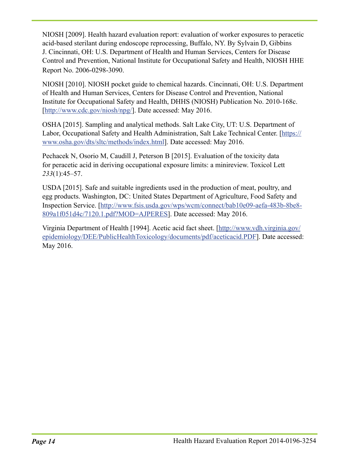NIOSH [2009]. Health hazard evaluation report: evaluation of worker exposures to peracetic acid-based sterilant during endoscope reprocessing, Buffalo, NY. By Sylvain D, Gibbins J. Cincinnati, OH: U.S. Department of Health and Human Services, Centers for Disease Control and Prevention, National Institute for Occupational Safety and Health, NIOSH HHE Report No. 2006-0298-3090.

NIOSH [2010]. NIOSH pocket guide to chemical hazards. Cincinnati, OH: U.S. Department of Health and Human Services, Centers for Disease Control and Prevention, National Institute for Occupational Safety and Health, DHHS (NIOSH) Publication No. 2010-168c. [[http://www.cdc.gov/niosh/npg/\]](http://www.cdc.gov/niosh/npg/). Date accessed: May 2016.

OSHA [2015]. Sampling and analytical methods. Salt Lake City, UT: U.S. Department of Labor, Occupational Safety and Health Administration, Salt Lake Technical Center. [\[https://](https://www.osha.gov/dts/sltc/methods/index.html)  [www.osha.gov/dts/sltc/methods/index.html\]](https://www.osha.gov/dts/sltc/methods/index.html). Date accessed: May 2016.

Pechacek N, Osorio M, Caudill J, Peterson B [2015]. Evaluation of the toxicity data for peracetic acid in deriving occupational exposure limits: a minireview. Toxicol Lett *233*(1):45–57.

USDA [2015]. Safe and suitable ingredients used in the production of meat, poultry, and egg products. Washington, DC: United States Department of Agriculture, Food Safety and Inspection Service. [[http://www.fsis.usda.gov/wps/wcm/connect/bab10e09-aefa-483b-8be8](http://www.fsis.usda.gov/wps/wcm/connect/bab10e09-aefa-483b-8be8-809a1f051d4c/7120.1.pdf?MOD=AJPERES) [809a1f051d4c/7120.1.pdf?MOD=AJPERES](http://www.fsis.usda.gov/wps/wcm/connect/bab10e09-aefa-483b-8be8-809a1f051d4c/7120.1.pdf?MOD=AJPERES)]. Date accessed: May 2016.

Virginia Department of Health [1994]. Acetic acid fact sheet. [[http://www.vdh.virginia.gov/](http://www.vdh.virginia.gov/epidemiology/DEE/PublicHealthToxicology/documents/pdf/aceticacid.PDF) [epidemiology/DEE/PublicHealthToxicology/documents/pdf/aceticacid.PDF](http://www.vdh.virginia.gov/epidemiology/DEE/PublicHealthToxicology/documents/pdf/aceticacid.PDF)]. Date accessed: May 2016.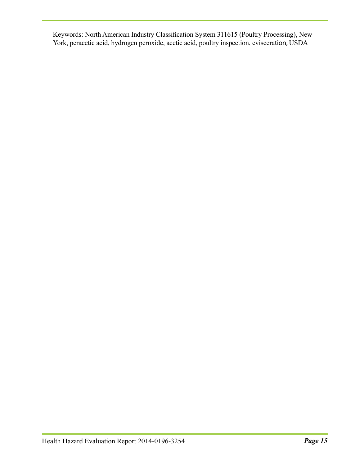Keywords: North American Industry Classification System 311615 (Poultry Processing), New York, peracetic acid, hydrogen peroxide, acetic acid, poultry inspection, evisceration, USDA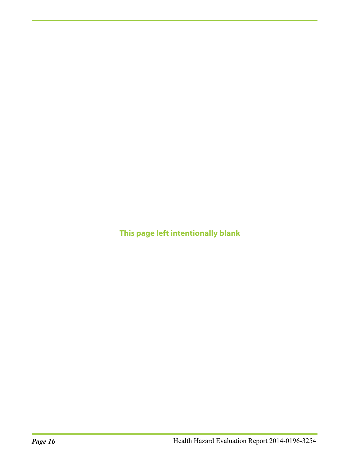**This page left intentionally blank**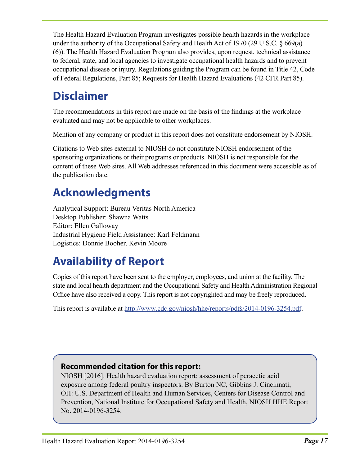The Health Hazard Evaluation Program investigates possible health hazards in the workplace under the authority of the Occupational Safety and Health Act of 1970 (29 U.S.C. § 669(a) (6)). The Health Hazard Evaluation Program also provides, upon request, technical assistance to federal, state, and local agencies to investigate occupational health hazards and to prevent occupational disease or injury. Regulations guiding the Program can be found in Title 42, Code of Federal Regulations, Part 85; Requests for Health Hazard Evaluations (42 CFR Part 85).

## **Disclaimer**

The recommendations in this report are made on the basis of the findings at the workplace evaluated and may not be applicable to other workplaces.

Mention of any company or product in this report does not constitute endorsement by NIOSH.

Citations to Web sites external to NIOSH do not constitute NIOSH endorsement of the sponsoring organizations or their programs or products. NIOSH is not responsible for the content of these Web sites. All Web addresses referenced in this document were accessible as of the publication date.

## **Acknowledgments**

Analytical Support: Bureau Veritas North America Desktop Publisher: Shawna Watts Editor: Ellen Galloway Industrial Hygiene Field Assistance: Karl Feldmann Logistics: Donnie Booher, Kevin Moore

## **Availability of Report**

Copies of this report have been sent to the employer, employees, and union at the facility. The state and local health department and the Occupational Safety and Health Administration Regional Office have also received a copy. This report is not copyrighted and may be freely reproduced.

This report is available at [http://www.cdc.gov/niosh/hhe/reports/pdfs/2014-0196-325](http://www.cdc.gov/niosh/hhe/reports/pdfs/2014-0196-3254.pdf)4.pdf.

#### **Recommended citation for this report:**

NIOSH [2016]. Health hazard evaluation report: assessment of peracetic acid exposure among federal poultry inspectors. By Burton NC, Gibbins J. Cincinnati, OH: U.S. Department of Health and Human Services, Centers for Disease Control and Prevention, National Institute for Occupational Safety and Health, NIOSH HHE Report No. 2014-0196-3254.